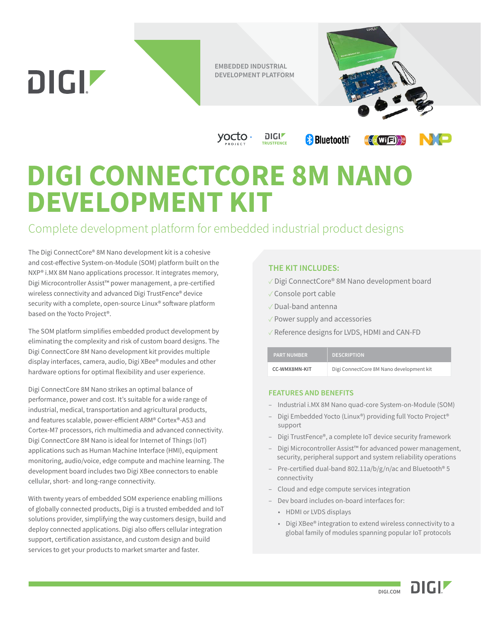**EMBEDDED INDUSTRIAL DEVELOPMENT PLATFORM**

**TRUSTFENCE**

 $DIGIZ$ 



(wi (子)

## **DIGI CONNECTCORE 8M NANO DEVELOPMENT KIT**

yocto

## Complete development platform for embedded industrial product designs

The Digi ConnectCore® 8M Nano development kit is a cohesive and cost-effective System-on-Module (SOM) platform built on the NXP® i.MX 8M Nano applications processor. It integrates memory, Digi Microcontroller Assist™ power management, a pre-certified wireless connectivity and advanced Digi TrustFence® device security with a complete, open-source Linux® software platform based on the Yocto Project®.

DIGIZ

The SOM platform simplifies embedded product development by eliminating the complexity and risk of custom board designs. The Digi ConnectCore 8M Nano development kit provides multiple display interfaces, camera, audio, Digi XBee® modules and other hardware options for optimal flexibility and user experience.

Digi ConnectCore 8M Nano strikes an optimal balance of performance, power and cost. It's suitable for a wide range of industrial, medical, transportation and agricultural products, and features scalable, power-efficient ARM® Cortex®-A53 and Cortex-M7 processors, rich multimedia and advanced connectivity. Digi ConnectCore 8M Nano is ideal for Internet of Things (IoT) applications such as Human Machine Interface (HMI), equipment monitoring, audio/voice, edge compute and machine learning. The development board includes two Digi XBee connectors to enable cellular, short- and long-range connectivity.

With twenty years of embedded SOM experience enabling millions of globally connected products, Digi is a trusted embedded and IoT solutions provider, simplifying the way customers design, build and deploy connected applications. Digi also offers cellular integration support, certification assistance, and custom design and build services to get your products to market smarter and faster.

## **THE KIT INCLUDES:**

- ✓ Digi ConnectCore® 8M Nano development board
- ✓ Console port cable
- ✓ Dual-band antenna
- ✓ Power supply and accessories

**& Bluetooth**<sup>®</sup>

✓ Reference designs for LVDS, HDMI and CAN-FD

| <b>PART NUMBER</b> | <b>DESCRIPTION</b>                       |
|--------------------|------------------------------------------|
| CC-WMX8MN-KIT      | Digi ConnectCore 8M Nano development kit |

## **FEATURES AND BENEFITS**

- Industrial i.MX 8M Nano quad-core System-on-Module (SOM)
- Digi Embedded Yocto (Linux®) providing full Yocto Project® support
- Digi TrustFence®, a complete IoT device security framework
- Digi Microcontroller Assist™ for advanced power management, security, peripheral support and system reliability operations
- Pre-certified dual-band 802.11a/b/g/n/ac and Bluetooth® 5 connectivity
- Cloud and edge compute services integration
- Dev board includes on-board interfaces for:
	- HDMI or LVDS displays
	- Digi XBee® integration to extend wireless connectivity to a global family of modules spanning popular IoT protocols